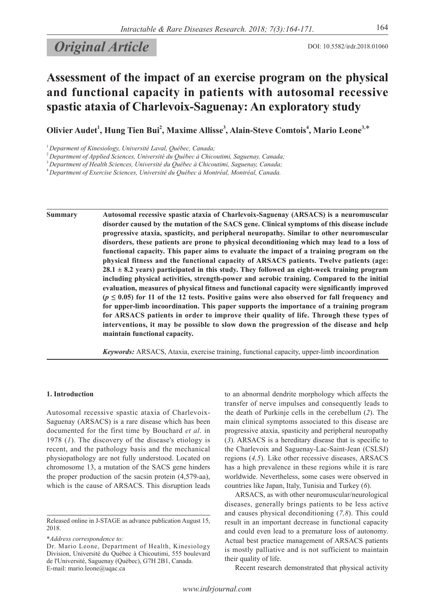# **Original Article** DOI: 10.5582/irdr.2018.01060

# **Assessment of the impact of an exercise program on the physical and functional capacity in patients with autosomal recessive spastic ataxia of Charlevoix-Saguenay: An exploratory study**

**Olivier Audet<sup>1</sup> , Hung Tien Bui2 , Maxime Allisse3 , Alain-Steve Comtois<sup>4</sup> , Mario Leone3,**\*

<sup>2</sup>*Department of Applied Sciences, Université du Québec à Chicoutimi, Saguenay, Canada;*

<sup>3</sup>*Department of Health Sciences, Université du Québec à Chicoutimi, Saguenay, Canada;*

<sup>4</sup>*Department of Exercise Sciences, Université du Québec à Montréal, Montréal, Canada.*

**Summary Autosomal recessive spastic ataxia of Charlevoix-Saguenay (ARSACS) is a neuromuscular disorder caused by the mutation of the SACS gene. Clinical symptoms of this disease include progressive ataxia, spasticity, and peripheral neuropathy. Similar to other neuromuscular disorders, these patients are prone to physical deconditioning which may lead to a loss of functional capacity. This paper aims to evaluate the impact of a training program on the physical fitness and the functional capacity of ARSACS patients. Twelve patients (age: 28.1 ± 8.2 years) participated in this study. They followed an eight-week training program including physical activities, strength-power and aerobic training. Compared to the initial evaluation, measures of physical fitness and functional capacity were significantly improved**   $(p \leq 0.05)$  for 11 of the 12 tests. Positive gains were also observed for fall frequency and **for upper-limb incoordination. This paper supports the importance of a training program for ARSACS patients in order to improve their quality of life. Through these types of interventions, it may be possible to slow down the progression of the disease and help maintain functional capacity.**

*Keywords:* ARSACS, Ataxia, exercise training, functional capacity, upper-limb incoordination

# **1. Introduction**

Autosomal recessive spastic ataxia of Charlevoix-Saguenay (ARSACS) is a rare disease which has been documented for the first time by Bouchard *et al*. in 1978 (*1*). The discovery of the disease's etiology is recent, and the pathology basis and the mechanical physiopathology are not fully understood. Located on chromosome 13, a mutation of the SACS gene hinders the proper production of the sacsin protein (4,579-aa), which is the cause of ARSACS. This disruption leads

\**Address correspondence to:*

to an abnormal dendrite morphology which affects the transfer of nerve impulses and consequently leads to the death of Purkinje cells in the cerebellum (*2*). The main clinical symptoms associated to this disease are progressive ataxia, spasticity and peripheral neuropathy (*3*). ARSACS is a hereditary disease that is specific to the Charlevoix and Saguenay-Lac-Saint-Jean (CSLSJ) regions (*4,5*). Like other recessive diseases, ARSACS has a high prevalence in these regions while it is rare worldwide. Nevertheless, some cases were observed in countries like Japan, Italy, Tunisia and Turkey (*6*).

ARSACS, as with other neuromuscular/neurological diseases, generally brings patients to be less active and causes physical deconditioning (*7,8*). This could result in an important decrease in functional capacity and could even lead to a premature loss of autonomy. Actual best practice management of ARSACS patients is mostly palliative and is not sufficient to maintain their quality of life.

Recent research demonstrated that physical activity

<sup>1</sup>*Deparment of Kinesiology, Université Laval, Québec, Canada;*

Released online in J-STAGE as advance publication August 15, 2018.

Dr. Mario Leone, Department of Health, Kinesiology Division, Université du Québec à Chicoutimi, 555 boulevard de l'Université, Saguenay (Québec), G7H 2B1, Canada. E-mail: mario.leone@uqac.ca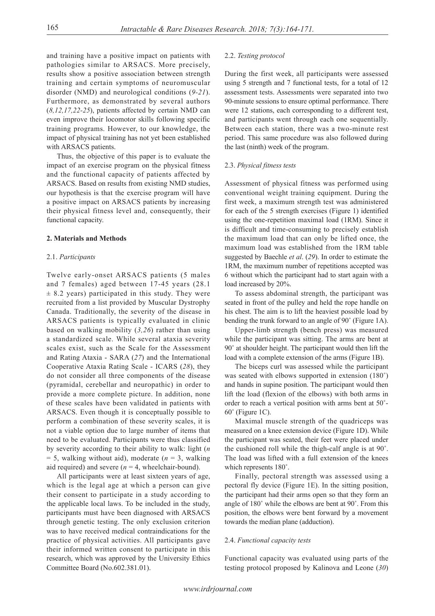and training have a positive impact on patients with pathologies similar to ARSACS. More precisely, results show a positive association between strength training and certain symptoms of neuromuscular disorder (NMD) and neurological conditions (*9-21*). Furthermore, as demonstrated by several authors (*8,12,17,22-25*), patients affected by certain NMD can even improve their locomotor skills following specific training programs. However, to our knowledge, the impact of physical training has not yet been established with ARSACS patients.

Thus, the objective of this paper is to evaluate the impact of an exercise program on the physical fitness and the functional capacity of patients affected by ARSACS. Based on results from existing NMD studies, our hypothesis is that the exercise program will have a positive impact on ARSACS patients by increasing their physical fitness level and, consequently, their functional capacity.

#### **2. Materials and Methods**

#### 2.1. *Participants*

Twelve early-onset ARSACS patients (5 males and 7 females) aged between 17-45 years (28.1  $\pm$  8.2 years) participated in this study. They were recruited from a list provided by Muscular Dystrophy Canada. Traditionally, the severity of the disease in ARSACS patients is typically evaluated in clinic based on walking mobility (*3,26*) rather than using a standardized scale. While several ataxia severity scales exist, such as the Scale for the Assessment and Rating Ataxia - SARA (*27*) and the International Cooperative Ataxia Rating Scale - ICARS (*28*), they do not consider all three components of the disease (pyramidal, cerebellar and neuropathic) in order to provide a more complete picture. In addition, none of these scales have been validated in patients with ARSACS. Even though it is conceptually possible to perform a combination of these severity scales, it is not a viable option due to large number of items that need to be evaluated. Participants were thus classified by severity according to their ability to walk: light (*n*  $= 5$ , walking without aid), moderate ( $n = 3$ , walking aid required) and severe  $(n = 4$ , wheelchair-bound).

All participants were at least sixteen years of age, which is the legal age at which a person can give their consent to participate in a study according to the applicable local laws. To be included in the study, participants must have been diagnosed with ARSACS through genetic testing. The only exclusion criterion was to have received medical contraindications for the practice of physical activities. All participants gave their informed written consent to participate in this research, which was approved by the University Ethics Committee Board (No.602.381.01).

#### 2.2. *Testing protocol*

During the first week, all participants were assessed using 5 strength and 7 functional tests, for a total of 12 assessment tests. Assessments were separated into two 90-minute sessions to ensure optimal performance. There were 12 stations, each corresponding to a different test, and participants went through each one sequentially. Between each station, there was a two-minute rest period. This same procedure was also followed during the last (ninth) week of the program.

#### 2.3. *Physical fitness tests*

Assessment of physical fitness was performed using conventional weight training equipment. During the first week, a maximum strength test was administered for each of the 5 strength exercises (Figure 1) identified using the one-repetition maximal load (1RM). Since it is difficult and time-consuming to precisely establish the maximum load that can only be lifted once, the maximum load was established from the 1RM table suggested by Baechle *et al*. (*29*). In order to estimate the 1RM, the maximum number of repetitions accepted was 6 without which the participant had to start again with a load increased by 20%.

To assess abdominal strength, the participant was seated in front of the pulley and held the rope handle on his chest. The aim is to lift the heaviest possible load by bending the trunk forward to an angle of 90˚ (Figure 1A).

Upper-limb strength (bench press) was measured while the participant was sitting. The arms are bent at 90˚ at shoulder height. The participant would then lift the load with a complete extension of the arms (Figure 1B).

The biceps curl was assessed while the participant was seated with elbows supported in extension (180˚) and hands in supine position. The participant would then lift the load (flexion of the elbows) with both arms in order to reach a vertical position with arms bent at 50˚-  $60^\circ$  (Figure 1C).

Maximal muscle strength of the quadriceps was measured on a knee extension device (Figure 1D). While the participant was seated, their feet were placed under the cushioned roll while the thigh-calf angle is at 90˚. The load was lifted with a full extension of the knees which represents 180˚.

Finally, pectoral strength was assessed using a pectoral fly device (Figure 1E). In the sitting position, the participant had their arms open so that they form an angle of 180˚ while the elbows are bent at 90˚. From this position, the elbows were bent forward by a movement towards the median plane (adduction).

#### 2.4. *Functional capacity tests*

Functional capacity was evaluated using parts of the testing protocol proposed by Kalinova and Leone (*30*)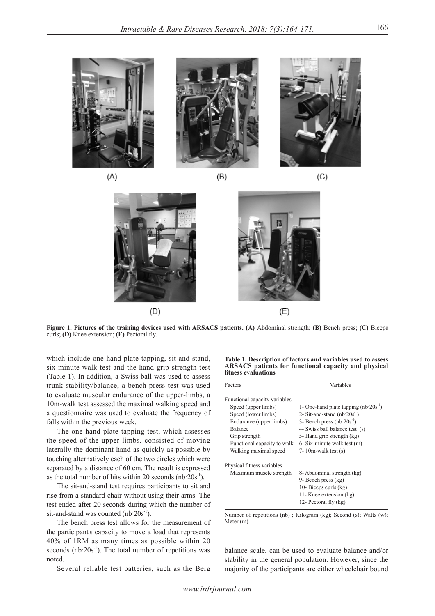



 $(B)$ 



 $(C)$ 

 $(D)$  $(E)$ 

**Figure 1. Pictures of the training devices used with ARSACS patients. (A)** Abdominal strength; **(B)** Bench press; **(C)** Biceps curls; **(D)** Knee extension; **(E)** Pectoral fly.

which include one-hand plate tapping, sit-and-stand, six-minute walk test and the hand grip strength test (Table 1). In addition, a Swiss ball was used to assess trunk stability/balance, a bench press test was used to evaluate muscular endurance of the upper-limbs, a 10m-walk test assessed the maximal walking speed and a questionnaire was used to evaluate the frequency of falls within the previous week.

The one-hand plate tapping test, which assesses the speed of the upper-limbs, consisted of moving laterally the dominant hand as quickly as possible by touching alternatively each of the two circles which were separated by a distance of 60 cm. The result is expressed as the total number of hits within 20 seconds ( $nb$   $20s$ <sup>-1</sup>).

The sit-and-stand test requires participants to sit and rise from a standard chair without using their arms. The test ended after 20 seconds during which the number of sit-and-stand was counted  $(nb.20s^{-1})$ .

The bench press test allows for the measurement of the participant's capacity to move a load that represents 40% of 1RM as many times as possible within 20 seconds  $(nb<sup>-1</sup>)$ . The total number of repetitions was noted.

Several reliable test batteries, such as the Berg

**Table 1. Description of factors and variables used to assess ARSACS patients for functional capacity and physical fitness evaluations**

| Variables                                 |  |  |
|-------------------------------------------|--|--|
|                                           |  |  |
| 1- One-hand plate tapping $(nb.20s^{-1})$ |  |  |
| 2- Sit-and-stand $(nb 20s^1)$             |  |  |
| 3- Bench press $(nb 20s-1)$               |  |  |
| 4- Swiss ball balance test (s)            |  |  |
| 5- Hand grip strength (kg)                |  |  |
| $6-$ Six-minute walk test $(m)$           |  |  |
| 7- 10m-walk test $(s)$                    |  |  |
|                                           |  |  |
| 8- Abdominal strength (kg)                |  |  |
| 9- Bench press (kg)                       |  |  |
| 10- Biceps curls (kg)                     |  |  |
| 11- Knee extension (kg)                   |  |  |
| 12- Pectoral fly (kg)                     |  |  |
|                                           |  |  |

Number of repetitions (nb) ; Kilogram (kg); Second (s); Watts (w); Meter (m).

balance scale, can be used to evaluate balance and/or stability in the general population. However, since the majority of the participants are either wheelchair bound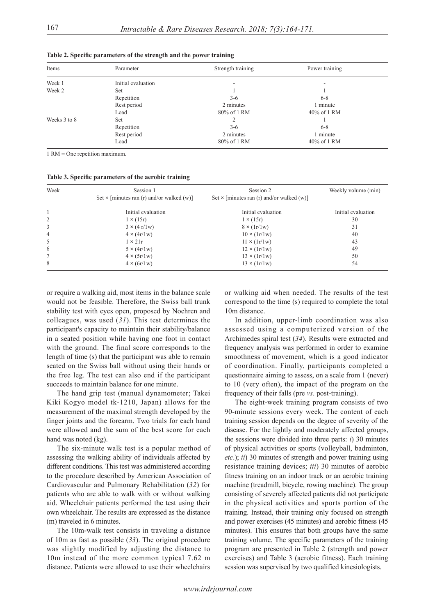| Items        | Parameter          | Strength training | Power training |  |
|--------------|--------------------|-------------------|----------------|--|
| Week 1       | Initial evaluation |                   |                |  |
| Week 2       | Set                |                   |                |  |
|              | Repetition         | $3-6$             | $6 - 8$        |  |
|              | Rest period        | 2 minutes         | 1 minute       |  |
|              | Load               | 80% of 1 RM       | $40\%$ of 1 RM |  |
| Weeks 3 to 8 | Set                |                   |                |  |
|              | Repetition         | $3-6$             | $6 - 8$        |  |
|              | Rest period        | 2 minutes         | l minute       |  |
|              | Load               | 80% of 1 RM       | $40\%$ of 1 RM |  |

**Table 2. Specific parameters of the strength and the power training**

1 RM = One repetition maximum.

**Table 3. Specific parameters of the aerobic training**

| Week | Session 1<br>Set $\times$ [minutes ran (r) and/or walked (w)] | Session 2<br>Set $\times$ [minutes ran (r) and/or walked (w)] | Weekly volume (min) |
|------|---------------------------------------------------------------|---------------------------------------------------------------|---------------------|
|      | Initial evaluation                                            | Initial evaluation                                            | Initial evaluation  |
| 2    | $1 \times (15r)$                                              | $1 \times (15r)$                                              | 30                  |
| 3    | $3 \times (4 \frac{\text{r}}{1 \text{w}})$                    | $8 \times (1r/1w)$                                            | 31                  |
| 4    | $4 \times (4r/1w)$                                            | $10 \times (1r/1w)$                                           | 40                  |
| 5    | $1 \times 21r$                                                | $11 \times (1r/1w)$                                           | 43                  |
| 6    | $5 \times (4r/1w)$                                            | $12 \times (1r/1w)$                                           | 49                  |
| 7    | $4 \times (5r/1w)$                                            | $13 \times (1r/1w)$                                           | 50                  |
| 8    | $4 \times (6r/1w)$                                            | $13 \times (1r/1w)$                                           | 54                  |

or require a walking aid, most items in the balance scale would not be feasible. Therefore, the Swiss ball trunk stability test with eyes open, proposed by Noehren and colleagues, was used (*31*). This test determines the participant's capacity to maintain their stability/balance in a seated position while having one foot in contact with the ground. The final score corresponds to the length of time (s) that the participant was able to remain seated on the Swiss ball without using their hands or the free leg. The test can also end if the participant succeeds to maintain balance for one minute.

The hand grip test (manual dynamometer; Takei Kiki Kogyo model tk-1210, Japan) allows for the measurement of the maximal strength developed by the finger joints and the forearm. Two trials for each hand were allowed and the sum of the best score for each hand was noted (kg).

The six-minute walk test is a popular method of assessing the walking ability of individuals affected by different conditions. This test was administered according to the procedure described by American Association of Cardiovascular and Pulmonary Rehabilitation (*32*) for patients who are able to walk with or without walking aid. Wheelchair patients performed the test using their own wheelchair. The results are expressed as the distance (m) traveled in 6 minutes.

The 10m-walk test consists in traveling a distance of 10m as fast as possible (*33*). The original procedure was slightly modified by adjusting the distance to 10m instead of the more common typical 7.62 m distance. Patients were allowed to use their wheelchairs or walking aid when needed. The results of the test correspond to the time (s) required to complete the total 10m distance.

In addition, upper-limb coordination was also assessed using a computerized version of the Archimedes spiral test (*34*). Results were extracted and frequency analysis was performed in order to examine smoothness of movement, which is a good indicator of coordination. Finally, participants completed a questionnaire aiming to assess, on a scale from 1 (never) to 10 (very often), the impact of the program on the frequency of their falls (pre *vs*. post-training).

The eight-week training program consists of two 90-minute sessions every week. The content of each training session depends on the degree of severity of the disease. For the lightly and moderately affected groups, the sessions were divided into three parts: *i*) 30 minutes of physical activities or sports (volleyball, badminton, *etc*.); *ii*) 30 minutes of strength and power training using resistance training devices; *iii*) 30 minutes of aerobic fitness training on an indoor track or an aerobic training machine (treadmill, bicycle, rowing machine). The group consisting of severely affected patients did not participate in the physical activities and sports portion of the training. Instead, their training only focused on strength and power exercises (45 minutes) and aerobic fitness (45 minutes). This ensures that both groups have the same training volume. The specific parameters of the training program are presented in Table 2 (strength and power exercises) and Table 3 (aerobic fitness). Each training session was supervised by two qualified kinesiologists.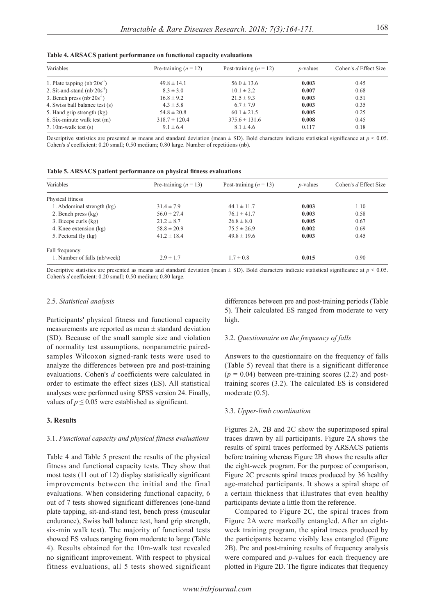| Variables                        | Pre-training $(n = 12)$ | Post-training $(n = 12)$ | $p$ -values | Cohen's d Effect Size |
|----------------------------------|-------------------------|--------------------------|-------------|-----------------------|
| 1. Plate tapping $(nb 20s^{-1})$ | $49.8 \pm 14.1$         | $56.0 \pm 13.6$          | 0.003       | 0.45                  |
| 2. Sit-and-stand $(nb 20s^{-1})$ | $8.3 \pm 3.0$           | $10.1 \pm 2.2$           | 0.007       | 0.68                  |
| 3. Bench press $(nb 20s^{-1})$   | $16.8 \pm 9.2$          | $21.5 \pm 9.3$           | 0.003       | 0.51                  |
| 4. Swiss ball balance test (s)   | $4.3 \pm 5.8$           | $6.7 \pm 7.9$            | 0.003       | 0.35                  |
| 5. Hand grip strength (kg)       | $54.8 \pm 20.8$         | $60.1 \pm 21.5$          | 0.005       | 0.25                  |
| $6. Six-minute walk test(m)$     | $318.7 \pm 120.4$       | $375.6 \pm 131.6$        | 0.008       | 0.45                  |
| 7. 10m-walk test $(s)$           | $9.1 \pm 6.4$           | $8.1 \pm 4.6$            | 0.117       | 0.18                  |

**Table 4. ARSACS patient performance on functional capacity evaluations**

Descriptive statistics are presented as means and standard deviation (mean  $\pm$  SD). Bold characters indicate statistical significance at  $p < 0.05$ . Cohen's *d* coefficient: 0.20 small; 0.50 medium; 0.80 large. Number of repetitions (nb).

| Table 5. ARSACS patient performance on physical fitness evaluations |  |  |  |  |  |
|---------------------------------------------------------------------|--|--|--|--|--|
|---------------------------------------------------------------------|--|--|--|--|--|

| Variables                    | Pre-training $(n = 13)$ | Post-training $(n = 13)$ | $p$ -values | Cohen's d Effect Size |
|------------------------------|-------------------------|--------------------------|-------------|-----------------------|
| Physical fitness             |                         |                          |             |                       |
| 1. Abdominal strength (kg)   | $31.4 \pm 7.9$          | $44.1 \pm 11.7$          | 0.003       | 1.10                  |
| 2. Bench press (kg)          | $56.0 \pm 27.4$         | $76.1 \pm 41.7$          | 0.003       | 0.58                  |
| 3. Biceps curls (kg)         | $21.2 \pm 8.7$          | $26.8 \pm 8.0$           | 0.005       | 0.67                  |
| 4. Knee extension (kg)       | $58.8 \pm 20.9$         | $75.5 \pm 26.9$          | 0.002       | 0.69                  |
| 5. Pectoral fly (kg)         | $41.2 \pm 18.4$         | $49.8 \pm 19.6$          | 0.003       | 0.45                  |
| Fall frequency               |                         |                          |             |                       |
| 1. Number of falls (nb/week) | $2.9 \pm 1.7$           | $1.7 \pm 0.8$            | 0.015       | 0.90                  |

Descriptive statistics are presented as means and standard deviation (mean  $\pm$  SD). Bold characters indicate statistical significance at  $p < 0.05$ . Cohen's *d* coefficient: 0.20 small; 0.50 medium; 0.80 large.

#### 2.5. *Statistical analysis*

Participants' physical fitness and functional capacity measurements are reported as mean  $\pm$  standard deviation (SD). Because of the small sample size and violation of normality test assumptions, nonparametric pairedsamples Wilcoxon signed-rank tests were used to analyze the differences between pre and post-training evaluations. Cohen's *d* coefficients were calculated in order to estimate the effect sizes (ES). All statistical analyses were performed using SPSS version 24. Finally, values of  $p \le 0.05$  were established as significant.

#### **3. Results**

#### 3.1. *Functional capacity and physical fitness evaluations*

Table 4 and Table 5 present the results of the physical fitness and functional capacity tests. They show that most tests (11 out of 12) display statistically significant improvements between the initial and the final evaluations. When considering functional capacity, 6 out of 7 tests showed significant differences (one-hand plate tapping, sit-and-stand test, bench press (muscular endurance), Swiss ball balance test, hand grip strength, six-min walk test). The majority of functional tests showed ES values ranging from moderate to large (Table 4). Results obtained for the 10m-walk test revealed no significant improvement. With respect to physical fitness evaluations, all 5 tests showed significant differences between pre and post-training periods (Table 5). Their calculated ES ranged from moderate to very high.

#### 3.2. *Questionnaire on the frequency of falls*

Answers to the questionnaire on the frequency of falls (Table 5) reveal that there is a significant difference  $(p = 0.04)$  between pre-training scores (2.2) and posttraining scores (3.2). The calculated ES is considered moderate (0.5).

#### 3.3. *Upper-limb coordination*

Figures 2A, 2B and 2C show the superimposed spiral traces drawn by all participants. Figure 2A shows the results of spiral traces performed by ARSACS patients before training whereas Figure 2B shows the results after the eight-week program. For the purpose of comparison, Figure 2C presents spiral traces produced by 36 healthy age-matched participants. It shows a spiral shape of a certain thickness that illustrates that even healthy participants deviate a little from the reference.

Compared to Figure 2C, the spiral traces from Figure 2A were markedly entangled. After an eightweek training program, the spiral traces produced by the participants became visibly less entangled (Figure 2B). Pre and post-training results of frequency analysis were compared and *p*-values for each frequency are plotted in Figure 2D. The figure indicates that frequency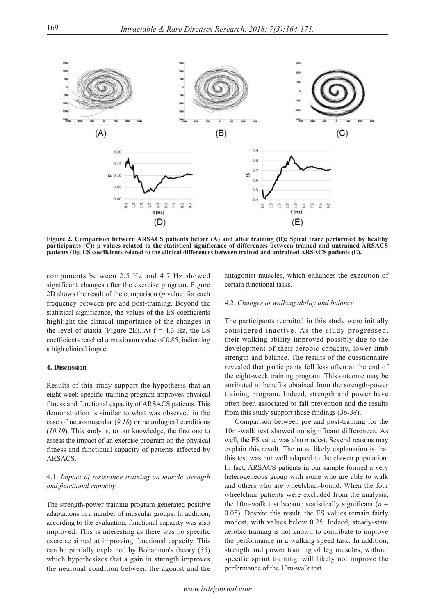

**Figure 2. Comparison between ARSACS patients before (A) and after training (B); Spiral trace performed by healthy participants (C); p values related to the statistical significance of differences between trained and untrained ARSACS patients (D); ES coefficients related to the clinical differences between trained and untrained ARSACS patients (E).**

components between 2.5 Hz and 4.7 Hz showed significant changes after the exercise program. Figure 2D shows the result of the comparison (*p* value) for each frequency between pre and post-training. Beyond the statistical significance, the values of the ES coefficients highlight the clinical importance of the changes in the level of ataxia (Figure 2E). At  $f = 4.3$  Hz, the ES coefficients reached a maximum value of 0.85, indicating a high clinical impact.

# **4. Discussion**

Results of this study support the hypothesis that an eight-week specific training program improves physical fitness and functional capacity of ARSACS patients. This demonstration is similar to what was observed in the case of neuromuscular (*9,18*) or neurological conditions (*10,19*). This study is, to our knowledge, the first one to assess the impact of an exercise program on the physical fitness and functional capacity of patients affected by ARSACS.

# 4.1. *Impact of resistance training on muscle strength and functional capacity*

The strength-power training program generated positive adaptations in a number of muscular groups. In addition, according to the evaluation, functional capacity was also improved. This is interesting as there was no specific exercise aimed at improving functional capacity. This can be partially explained by Bohannon's theory (*35*) which hypothesizes that a gain in strength improves the neuronal condition between the agonist and the

antagonist muscles, which enhances the execution of certain functional tasks.

#### 4.2. *Changes in walking ability and balance*

The participants recruited in this study were initially considered inactive. As the study progressed, their walking ability improved possibly due to the development of their aerobic capacity, lower limb strength and balance. The results of the questionnaire revealed that participants fell less often at the end of the eight-week training program. This outcome may be attributed to benefits obtained from the strength-power training program. Indeed, strength and power have often been associated to fall prevention and the results from this study support those findings (*36-38*).

Comparison between pre and post-training for the 10m-walk test showed no significant differences. As well, the ES value was also modest. Several reasons may explain this result. The most likely explanation is that this test was not well adapted to the chosen population. In fact, ARSACS patients in our sample formed a very heterogeneous group with some who are able to walk and others who are wheelchair-bound. When the four wheelchair patients were excluded from the analysis, the 10m-walk test became statistically significant ( $p =$ 0.05). Despite this result, the ES values remain fairly modest, with values below 0.25. Indeed, steady-state aerobic training is not known to contribute to improve the performance in a walking speed task. In addition, strength and power training of leg muscles, without specific sprint training, will likely not improve the performance of the 10m-walk test.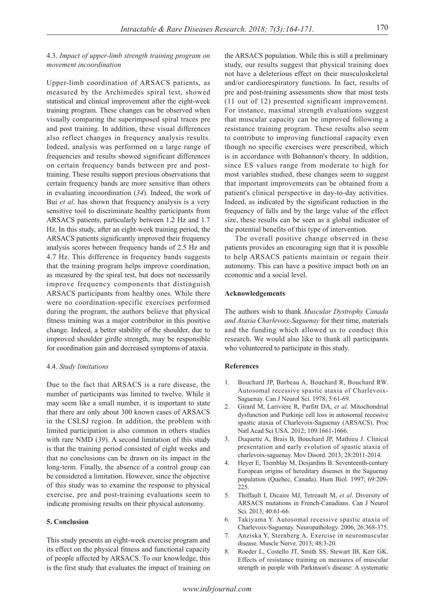# 4.3. *Impact of upper-limb strength training program on movement incoordination*

Upper-limb coordination of ARSACS patients, as measured by the Archimedes spiral test, showed statistical and clinical improvement after the eight-week training program. These changes can be observed when visually comparing the superimposed spiral traces pre and post training. In addition, these visual differences also reflect changes in frequency analysis results. Indeed, analysis was performed on a large range of frequencies and results showed significant differences on certain frequency bands between pre and posttraining. These results support previous observations that certain frequency bands are more sensitive than others in evaluating incoordination (*34*). Indeed, the work of Bui *et al*. has shown that frequency analysis is a very sensitive tool to discriminate healthy participants from ARSACS patients, particularly between 1.2 Hz and 1.7 Hz. In this study, after an eight-week training period, the ARSACS patients significantly improved their frequency analysis scores between frequency bands of 2.5 Hz and 4.7 Hz. This difference in frequency bands suggests that the training program helps improve coordination, as measured by the spiral test, but does not necessarily improve frequency components that distinguish ARSACS participants from healthy ones. While there were no coordination-specific exercises performed during the program, the authors believe that physical fitness training was a major contributor in this positive change. Indeed, a better stability of the shoulder, due to improved shoulder girdle strength, may be responsible for coordination gain and decreased symptoms of ataxia.

#### 4.4. *Study limitations*

Due to the fact that ARSACS is a rare disease, the number of participants was limited to twelve. While it may seem like a small number, it is important to state that there are only about 300 known cases of ARSACS in the CSLSJ region. In addition, the problem with limited participation is also common in others studies with rare NMD (*39*). A second limitation of this study is that the training period consisted of eight weeks and that no conclusions can be drawn on its impact in the long-term. Finally, the absence of a control group can be considered a limitation. However, since the objective of this study was to examine the response to physical exercise, pre and post-training evaluations seem to indicate promising results on their physical autonomy.

# **5. Conclusion**

This study presents an eight-week exercise program and its effect on the physical fitness and functional capacity of people affected by ARSACS. To our knowledge, this is the first study that evaluates the impact of training on

the ARSACS population. While this is still a preliminary study, our results suggest that physical training does not have a deleterious effect on their musculoskeletal and/or cardiorespiratory functions. In fact, results of pre and post-training assessments show that most tests (11 out of 12) presented significant improvement. For instance, maximal strength evaluations suggest that muscular capacity can be improved following a resistance training program. These results also seem to contribute to improving functional capacity even though no specific exercises were prescribed, which is in accordance with Bohannon's theory. In addition, since ES values range from moderate to high for most variables studied, these changes seem to suggest that important improvements can be obtained from a patient's clinical perspective in day-to-day activities. Indeed, as indicated by the significant reduction in the frequency of falls and by the large value of the effect size, these results can be seen as a global indicator of the potential benefits of this type of intervention.

The overall positive change observed in these patients provides an encouraging sign that it is possible to help ARSACS patients maintain or regain their autonomy. This can have a positive impact both on an economic and a social level.

### **Acknowledgements**

The authors wish to thank *Muscular Dystrophy Canada and Ataxia Charlevoix-Saguenay* for their time, materials and the funding which allowed us to conduct this research. We would also like to thank all participants who volunteered to participate in this study.

# **References**

- 1. Bouchard JP, Barbeau A, Bouchard R, Bouchard RW. Autosomal recessive spastic ataxia of Charlevoix-Saguenay. Can J Neurol Sci. 1978; 5:61-69.
- 2. Girard M, Larivière R, Parfitt DA, *et al*. Mitochondrial dysfunction and Purkinje cell loss in autosomal recessive spastic ataxia of Charlevoix-Saguenay (ARSACS). Proc Natl Acad Sci USA. 2012; 109:1661-1666.
- 3. Duquette A, Brais B, Bouchard JP, Mathieu J. Clinical presentation and early evolution of spastic ataxia of charlevoix-saguenay. Mov Disord. 2013; 28:2011-2014.
- 4. Heyer E, Tremblay M, Desjardins B. Seventeenth-century European origins of hereditary diseases in the Saguenay population (Quebec, Canada). Hum Biol. 1997; 69:209- 225.
- 5. Thiffault I, Dicaire MJ, Tetreault M, *et al*. Diversity of ARSACS mutations in French-Canadians. Can J Neurol Sci. 2013; 40:61-66.
- 6. Takiyama Y. Autosomal recessive spastic ataxia of Charlevoix-Saguenay. Neuropathology. 2006; 26:368-375.
- 7. Anziska Y, Sternberg A. Exercise in neuromuscular disease. Muscle Nerve. 2013; 48:3-20.
- 8. Roeder L, Costello JT, Smith SS, Stewart IB, Kerr GK. Effects of resistance training on measures of muscular strength in people with Parkinson's disease: A systematic